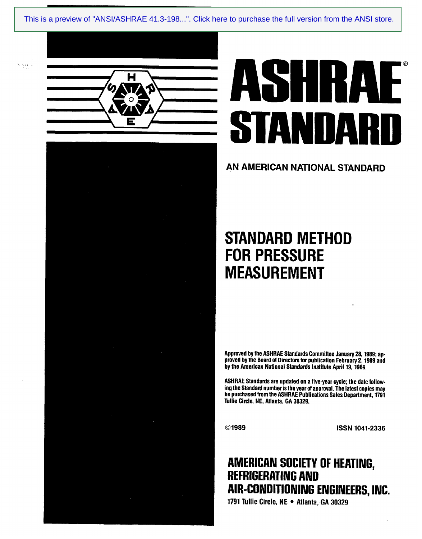ANSVASHRAE 41.34989 [This is a preview of "ANSI/ASHRAE 41.3-198...". Click here to purchase the full version from the ANSI store.](https://webstore.ansi.org/Standards/ASHRAE/ANSIASHRAE411989?source=preview)



Vitinia

# **KAL** STANDARD

## AN AMERICAN NATIONAL STANDARD

# STANDARD METHOD FOR PRESSURE MEASUREMENT

Approved by the ASHRAE Standards Committee January 28,1989; approved by the Board of Directors for publication February 2,1989 and by the American National Standards Institute April 19, 1989.

ASHRAE Standards are updated on a five-year cycle; the date following the Standard number is the year of approval. The latest copies may be purchased from the ASHRAE Publications Sales Department, 1791 Tullie Circle, NE, Atlanta, GA 30329.

**Communist Communist Communist Communist Communist Communist Communist Communist Communist Communist Communist C** 

# AMERICAN SOCIETY OF HEATING, REFRIGERATING AND AIR-CONDITIONING ENGINEERS,INC.

1791 Tullie Circle, NE · Atlanta, GA 30329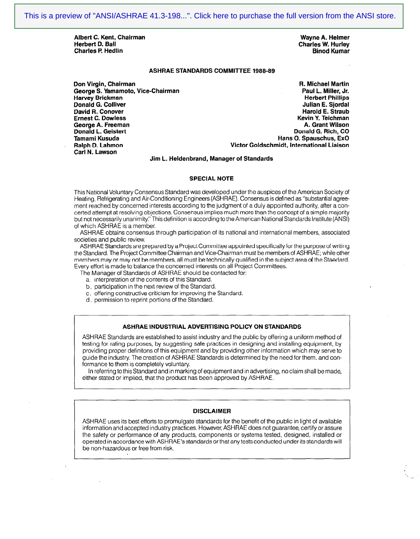Albert C. Kent, Chairman National Communication of the Mayne A. Helmer National Chairman National Chairman Wayne A. Helmer National Chairman National Chairman National Chairman National Chairman National Chairman National Charles P. Hedlin

Charles W. Hurley<br>Binod Kumar

#### ASHRAE STANDARDS COMMITTEE 1988-89

Don Virgin, Chairman (1999) 1999 - 1999 - 1999 - 1999 - 1999 - 1999 - 1999 - 1999 - 1999 - 1999 - 1999 - 1999<br>George S. Yamamoto, Vice-Chairman (1999) - 1999 - 1999 - 1999 - 1999 - 1999 - 1999 - 1999 - 1999 - 1999 - 199 George S. Yamamoto, Vice-Chairman Harvey Brickman المستخدم المستخدم المستخدم المستخدم المستخدم المستخدم المستخدم المستخدم المستخدم المستخدم المس<br>المستخدم المستخدم المستخدم المستخدم المستخدم المستخدم المستخدم المستخدم المستخدم المستخدم المستخدم المستخدم ال Donald G. Colliver and Society and Society and Society and Society and Society and Society and Society and Society and Society and Society and Society and Society and Society and Society and Society and Society and Society David R. Conover<br>Ernest C. Dowless George A. Freeman<br>Donald L. Geistert Tamami Kusuda Hans 0. Spauschus, ExO Ralph D. Lahmon Victor Goldschmidt, international Liaison Carl N. Lawson

Kevin Y. Teichman<br>A. Grant Wilson Donald G. Rich, CO

#### Jim L. Heldenbrand, Manager of Standards

#### SPECIAL NOTE

This National Voluntary Consensus Standard was developed under the auspices of the American Society of Heating, Refrigerating and Air-Conditioning Engineers (ASHRAE). Consensus is defined as "substantial agree ment reached by concerned interests according to the judgment of a duly appointed authority, after a concerted attempt at resolving objections. Consensus implies much more than the concept of a simple majority but not necessarily unanimity." This definition is according to the American National Standards Institute (ANSI) of which ASHRAE is a member.

ASHRAE obtains consensus through participation of its national and international members, associated societies and public review.

ASHRAE Standards are prepared by a Project Committee appointed specifically for the purpose of writing the Standard. The Project Committee Chairman and Vice-Chairman must be members of ASHRAE; while other members may or may not be members, all must be technically qualified in the subject area of the Standard. Every effort is made to balance the concerned interests on all Project Committees.

The Manager of Standards of ASHRAE should be contacted for:

- a. interpretation of the contents of this Standard.
- b. participation in the next review of the Standard.
- c, offering constructive criticism for improving the Standard.
- d. permission to reprint portions of the Standard.

#### ASHRAE INDUSTRIAL ADVERTISING POLICY ON STANDARDS

ASHRAE Standards are established to assist industry and the public by offering a uniform method of testing for rating purposes, by suggesting safe practices in designing and installing equipment, by providing proper definitons of this equipment and by providing other information which may serve to guide the industry. The creation of ASHRAE Standards is determined by the need for them, and conformance to them is completely voluntary.

In referring to this Standard and in marking of equipment and in advertising, no claim shall be made, either stated or implied, that the product has been approved by ASHRAE.

#### DISCLAIMER

ASHRAE uses its best efforts to promulgate standards for the benefit of the public in light of available information and accepted industry practices. However, ASHRAE does not guarantee, certify or assure the safety or performance of any products, components or systems tested, designed, installed or operated in accordance with ASHRAE's standards or that any tests conducted under its standards will be non-hazardous or free from risk.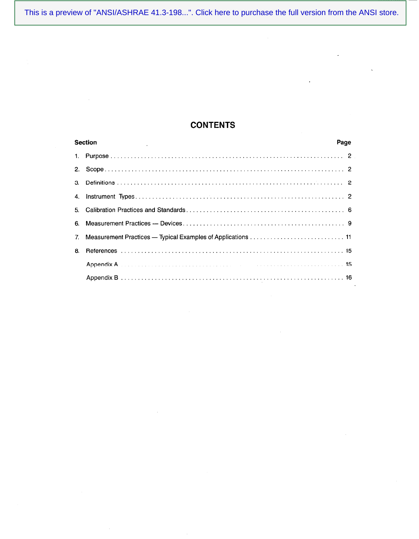[This is a preview of "ANSI/ASHRAE 41.3-198...". Click here to purchase the full version from the ANSI store.](https://webstore.ansi.org/Standards/ASHRAE/ANSIASHRAE411989?source=preview)

 $\bar{\omega}$ 

 $\cdot$ 

 $\ddot{\phantom{a}}$ 

### **CONTENTS**

|    | <b>Section</b><br>Page |  |
|----|------------------------|--|
|    |                        |  |
|    |                        |  |
|    |                        |  |
|    |                        |  |
|    |                        |  |
|    |                        |  |
|    |                        |  |
| 8. |                        |  |
|    |                        |  |
|    |                        |  |

 $\sim$